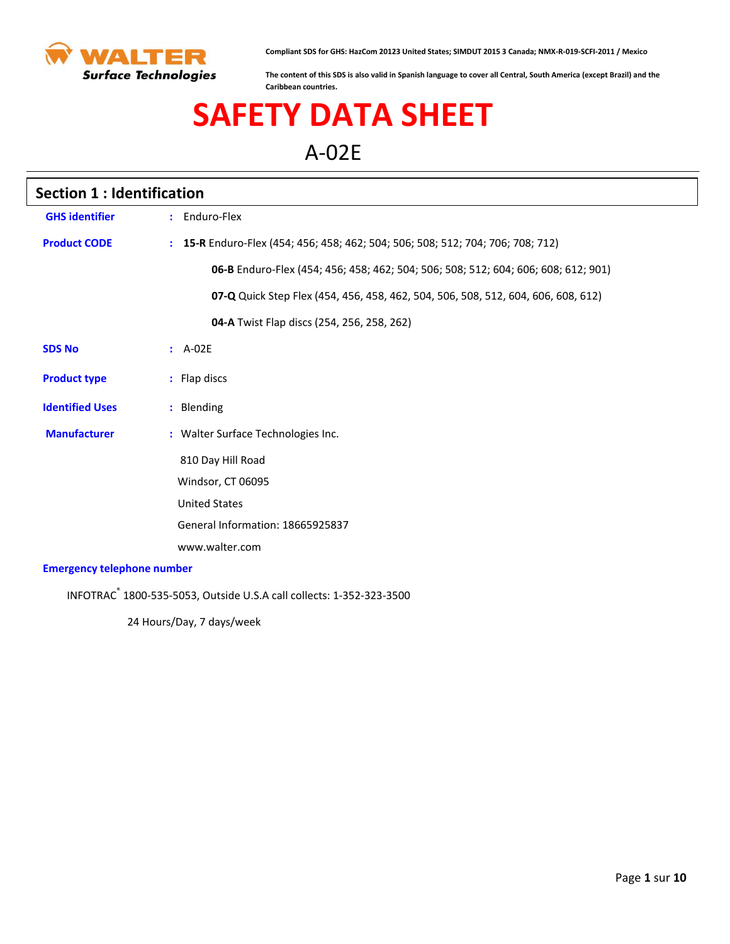

**Compliant SDS for GHS: HazCom 20123 United States; SIMDUT 2015 3 Canada; NMX-R-019-SCFI-2011 / Mexico**

**The content of this SDS is also valid in Spanish language to cover all Central, South America (except Brazil) and the Caribbean countries.**

# **SAFETY DATA SHEET**

A-02E

| <b>Section 1: Identification</b>  |                                                                                    |  |
|-----------------------------------|------------------------------------------------------------------------------------|--|
| <b>GHS identifier</b>             | : Enduro-Flex                                                                      |  |
| <b>Product CODE</b>               | : 15-R Enduro-Flex (454; 456; 458; 462; 504; 506; 508; 512; 704; 706; 708; 712)    |  |
|                                   | 06-B Enduro-Flex (454; 456; 458; 462; 504; 506; 508; 512; 604; 606; 608; 612; 901) |  |
|                                   | 07-Q Quick Step Flex (454, 456, 458, 462, 504, 506, 508, 512, 604, 606, 608, 612)  |  |
|                                   | 04-A Twist Flap discs (254, 256, 258, 262)                                         |  |
| <b>SDS No</b>                     | $A-02E$                                                                            |  |
| <b>Product type</b>               | : Flap discs                                                                       |  |
| <b>Identified Uses</b>            | : Blending                                                                         |  |
| <b>Manufacturer</b>               | : Walter Surface Technologies Inc.                                                 |  |
|                                   | 810 Day Hill Road                                                                  |  |
|                                   | Windsor, CT 06095                                                                  |  |
|                                   | <b>United States</b>                                                               |  |
|                                   | General Information: 18665925837                                                   |  |
|                                   | www.walter.com                                                                     |  |
| <b>Emergency telephone number</b> |                                                                                    |  |

INFOTRAC® 1800-535-5053, Outside U.S.A call collects: 1-352-323-3500

24 Hours/Day, 7 days/week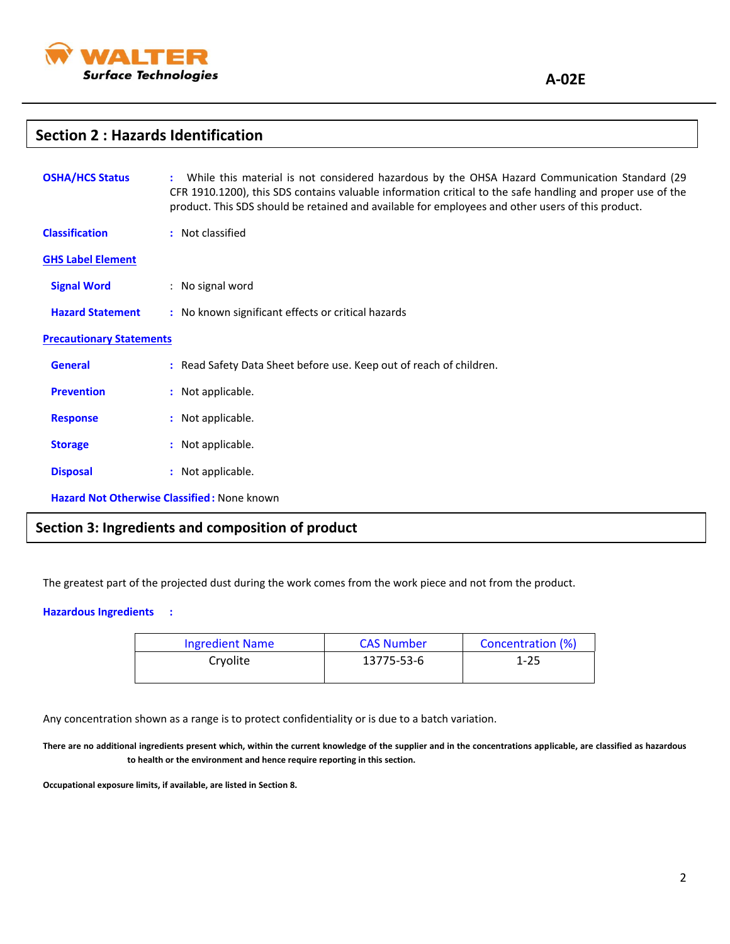

### **Section 2 : Hazards Identification**

| <b>OSHA/HCS Status</b>          | While this material is not considered hazardous by the OHSA Hazard Communication Standard (29<br>CFR 1910.1200), this SDS contains valuable information critical to the safe handling and proper use of the<br>product. This SDS should be retained and available for employees and other users of this product. |
|---------------------------------|------------------------------------------------------------------------------------------------------------------------------------------------------------------------------------------------------------------------------------------------------------------------------------------------------------------|
| <b>Classification</b>           | : Not classified                                                                                                                                                                                                                                                                                                 |
| <b>GHS Label Element</b>        |                                                                                                                                                                                                                                                                                                                  |
| <b>Signal Word</b>              | : No signal word                                                                                                                                                                                                                                                                                                 |
| <b>Hazard Statement</b>         | : No known significant effects or critical hazards                                                                                                                                                                                                                                                               |
| <b>Precautionary Statements</b> |                                                                                                                                                                                                                                                                                                                  |
| <b>General</b>                  | : Read Safety Data Sheet before use. Keep out of reach of children.                                                                                                                                                                                                                                              |
| <b>Prevention</b>               | : Not applicable.                                                                                                                                                                                                                                                                                                |
| <b>Response</b>                 | : Not applicable.                                                                                                                                                                                                                                                                                                |
| <b>Storage</b>                  | : Not applicable.                                                                                                                                                                                                                                                                                                |
| <b>Disposal</b>                 | : Not applicable.                                                                                                                                                                                                                                                                                                |
|                                 | <b>Hazard Not Otherwise Classified: None known</b>                                                                                                                                                                                                                                                               |

## **Section 3: Ingredients and composition of product**

The greatest part of the projected dust during the work comes from the work piece and not from the product.

#### **Hazardous Ingredients :**

| <b>Ingredient Name</b> | <b>CAS Number</b> | Concentration (%) |
|------------------------|-------------------|-------------------|
| Cryolite               | 13775-53-6        | $1 - 25$          |

Any concentration shown as a range is to protect confidentiality or is due to a batch variation.

**There are no additional ingredients present which, within the current knowledge of the supplier and in the concentrations applicable, are classified as hazardous to health or the environment and hence require reporting in this section.**

**Occupational exposure limits, if available, are listed in Section 8.**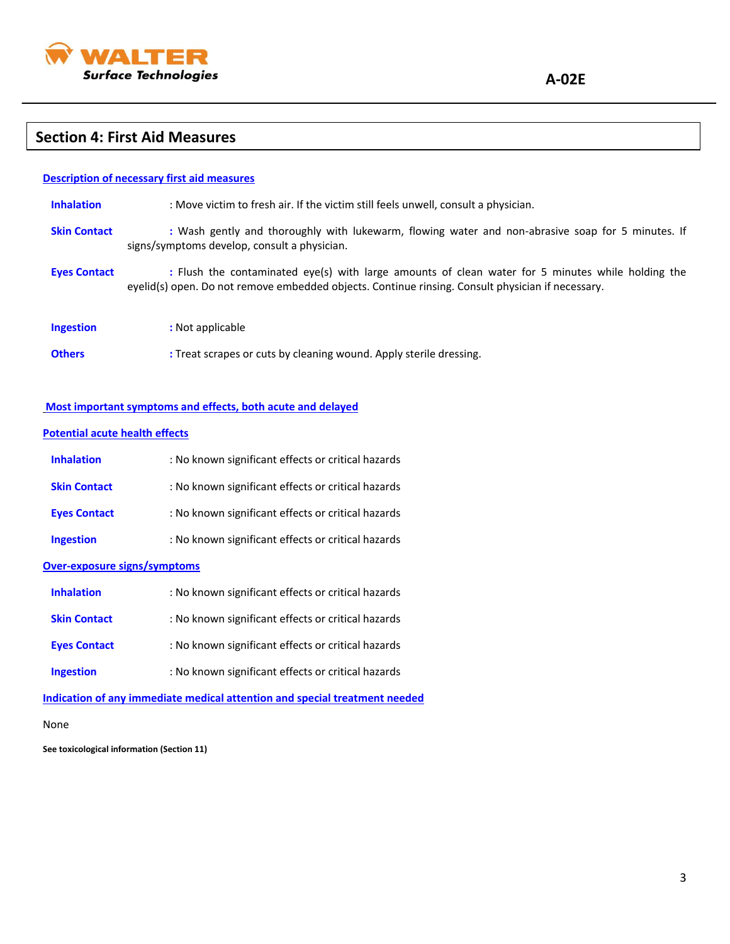

### $\overline{a}$ **Section 4: First Aid Measures**

| <b>Description of necessary first aid measures</b> |                                                                                                                                                                                                        |  |
|----------------------------------------------------|--------------------------------------------------------------------------------------------------------------------------------------------------------------------------------------------------------|--|
| <b>Inhalation</b>                                  | : Move victim to fresh air. If the victim still feels unwell, consult a physician.                                                                                                                     |  |
| <b>Skin Contact</b>                                | : Wash gently and thoroughly with lukewarm, flowing water and non-abrasive soap for 5 minutes. If<br>signs/symptoms develop, consult a physician.                                                      |  |
| <b>Eyes Contact</b>                                | : Flush the contaminated eye(s) with large amounts of clean water for 5 minutes while holding the<br>eyelid(s) open. Do not remove embedded objects. Continue rinsing. Consult physician if necessary. |  |
| <b>Ingestion</b>                                   | : Not applicable                                                                                                                                                                                       |  |

**Others :** Treat scrapes or cuts by cleaning wound. Apply sterile dressing.

### **Most important symptoms and effects, both acute and delayed**

#### **Potential acute health effects**

| <b>Inhalation</b>                                                          | : No known significant effects or critical hazards |  |
|----------------------------------------------------------------------------|----------------------------------------------------|--|
| <b>Skin Contact</b>                                                        | : No known significant effects or critical hazards |  |
| <b>Eyes Contact</b>                                                        | : No known significant effects or critical hazards |  |
| <b>Ingestion</b>                                                           | : No known significant effects or critical hazards |  |
| <b>Over-exposure signs/symptoms</b>                                        |                                                    |  |
| <b>Inhalation</b>                                                          | : No known significant effects or critical hazards |  |
| <b>Skin Contact</b>                                                        | : No known significant effects or critical hazards |  |
| <b>Eyes Contact</b>                                                        | : No known significant effects or critical hazards |  |
| <b>Ingestion</b>                                                           | : No known significant effects or critical hazards |  |
| Indication of any immediate medical attention and special treatment needed |                                                    |  |

None

**See toxicological information (Section 11)**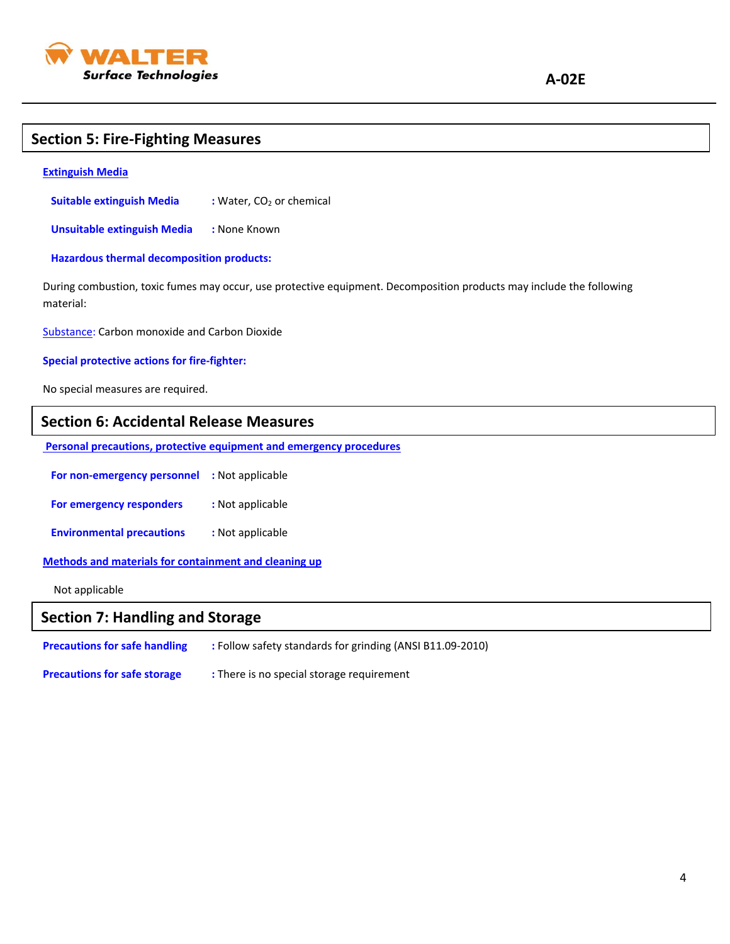

### **Section 5: Fire-Fighting Measures**

#### **Extinguish Media**

**Suitable extinguish Media :** Water, CO<sub>2</sub> or chemical

 **Unsuitable extinguish Media :** None Known

 **Hazardous thermal decomposition products:**

During combustion, toxic fumes may occur, use protective equipment. Decomposition products may include the following material:

Substance: Carbon monoxide and Carbon Dioxide

#### **Special protective actions for fire-fighter:**

No special measures are required.

### **Section 6: Accidental Release Measures**

**Personal precautions, protective equipment and emergency procedures**

 **For non-emergency personnel :** Not applicable

**For emergency responders** : Not applicable

 **Environmental precautions :** Not applicable

**Methods and materials for containment and cleaning up**

Not applicable

### **Section 7: Handling and Storage**

| <b>Precautions for safe handling</b> | : Follow safety standards for grinding (ANSI B11.09-2010) |
|--------------------------------------|-----------------------------------------------------------|
| <b>Precautions for safe storage</b>  | : There is no special storage requirement                 |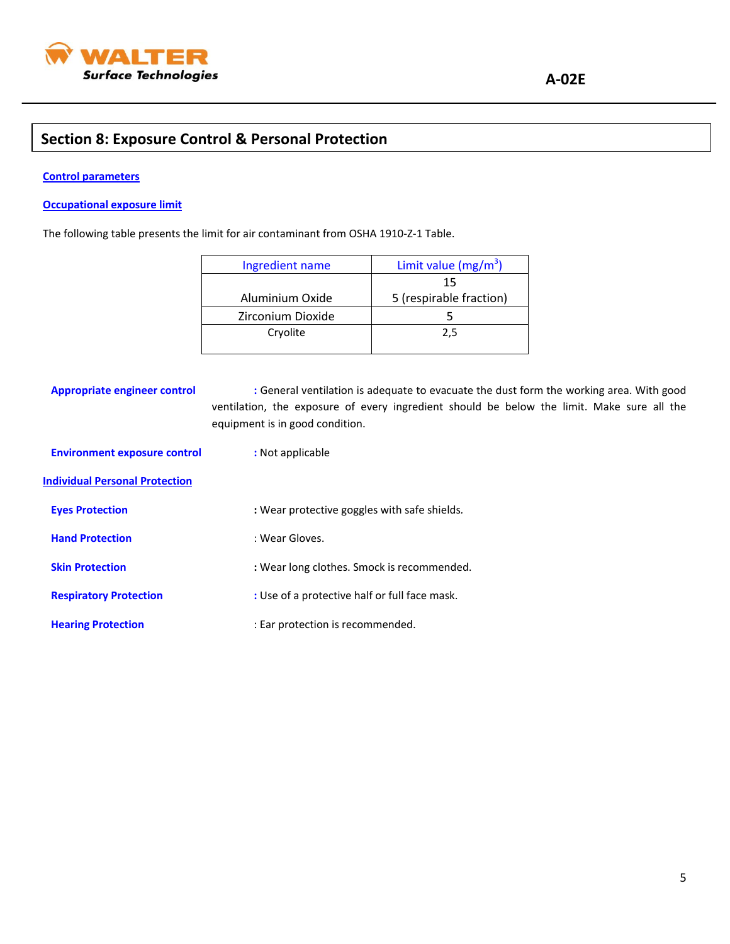

### **Section 8: Exposure Control & Personal Protection**

#### **Control parameters**

### **Occupational exposure limit**

The following table presents the limit for air contaminant from OSHA 1910-Z-1 Table.

| Ingredient name   | Limit value ( $mg/m^3$ ) |
|-------------------|--------------------------|
|                   | 15                       |
| Aluminium Oxide   | 5 (respirable fraction)  |
| Zirconium Dioxide |                          |
| Cryolite          | 2.5                      |
|                   |                          |

**Appropriate engineer control :** General ventilation is adequate to evacuate the dust form the working area. With good ventilation, the exposure of every ingredient should be below the limit. Make sure all the equipment is in good condition.

| <b>Environment exposure control</b>   | : Not applicable                              |
|---------------------------------------|-----------------------------------------------|
| <b>Individual Personal Protection</b> |                                               |
| <b>Eyes Protection</b>                | : Wear protective goggles with safe shields.  |
| <b>Hand Protection</b>                | : Wear Gloves.                                |
| <b>Skin Protection</b>                | : Wear long clothes. Smock is recommended.    |
| <b>Respiratory Protection</b>         | : Use of a protective half or full face mask. |
| <b>Hearing Protection</b>             | : Ear protection is recommended.              |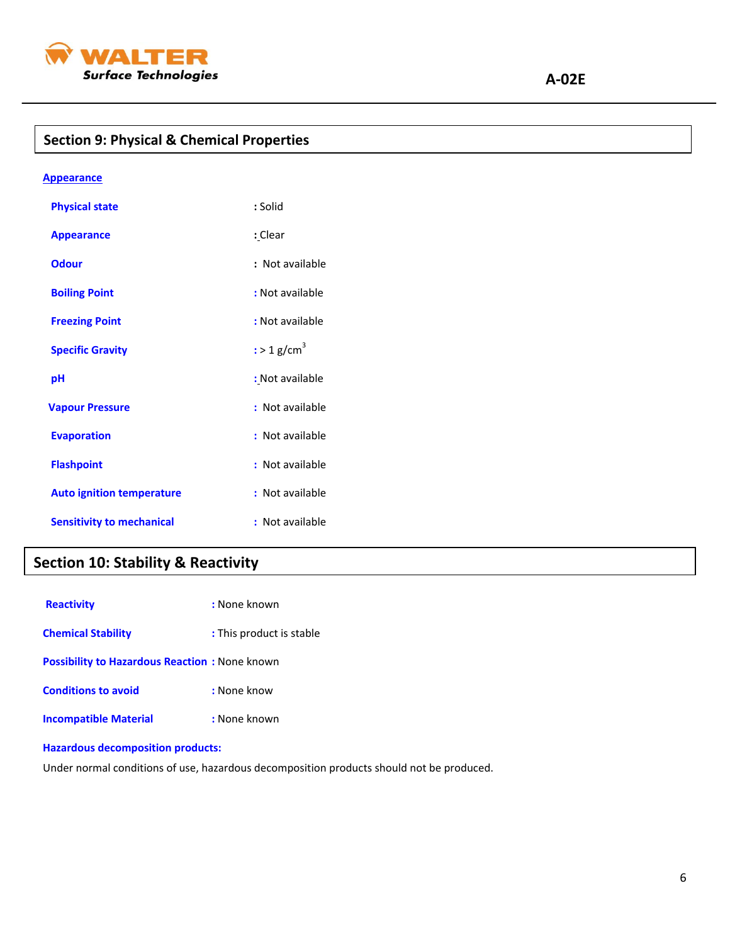

## **Section 9: Physical & Chemical Properties**

| <b>Appearance</b>                |                           |
|----------------------------------|---------------------------|
| <b>Physical state</b>            | : Solid                   |
| <b>Appearance</b>                | : Clear                   |
| <b>Odour</b>                     | : Not available           |
| <b>Boiling Point</b>             | : Not available           |
| <b>Freezing Point</b>            | : Not available           |
| <b>Specific Gravity</b>          | $:$ > 1 g/cm <sup>3</sup> |
| рH                               | : Not available           |
| <b>Vapour Pressure</b>           | : Not available           |
| <b>Evaporation</b>               | : Not available           |
| <b>Flashpoint</b>                | : Not available           |
| <b>Auto ignition temperature</b> | : Not available           |
| <b>Sensitivity to mechanical</b> | : Not available           |

### **Section 10: Stability & Reactivity**

| <b>Reactivity</b>                                    | : None known             |
|------------------------------------------------------|--------------------------|
| <b>Chemical Stability</b>                            | : This product is stable |
| <b>Possibility to Hazardous Reaction: None known</b> |                          |
| <b>Conditions to avoid</b>                           | : None know              |
| <b>Incompatible Material</b>                         | : None known             |

### **Hazardous decomposition products:**

Under normal conditions of use, hazardous decomposition products should not be produced.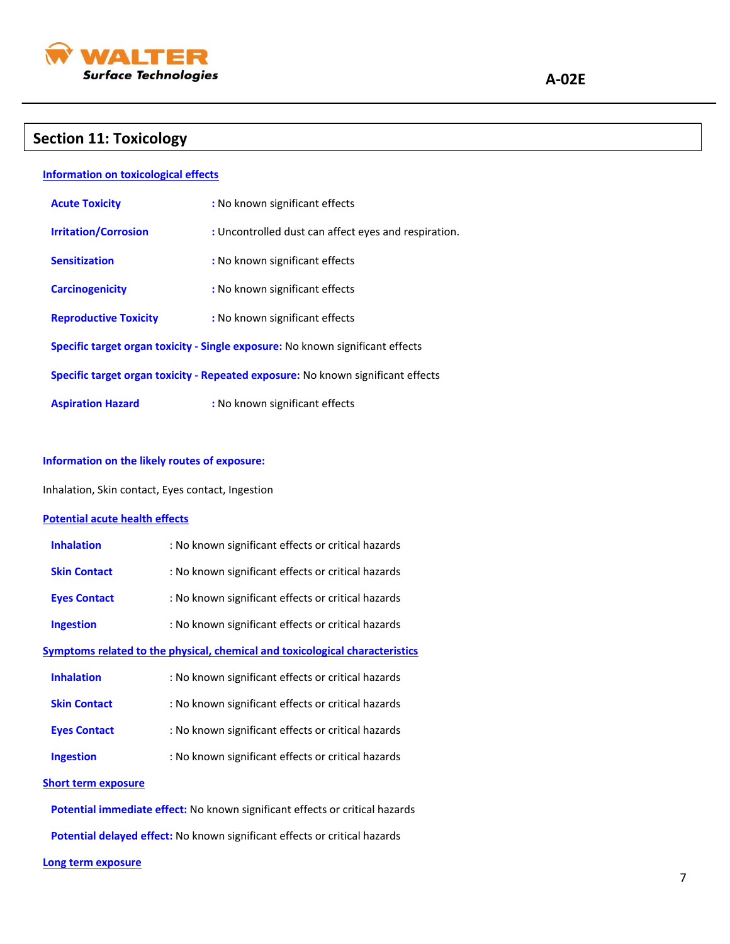

### **Section 11: Toxicology**

#### **Information on toxicological effects**

| <b>Acute Toxicity</b>                                                            | : No known significant effects                       |
|----------------------------------------------------------------------------------|------------------------------------------------------|
| <b>Irritation/Corrosion</b>                                                      | : Uncontrolled dust can affect eyes and respiration. |
| <b>Sensitization</b>                                                             | : No known significant effects                       |
| <b>Carcinogenicity</b>                                                           | : No known significant effects                       |
| <b>Reproductive Toxicity</b>                                                     | : No known significant effects                       |
| Specific target organ toxicity - Single exposure: No known significant effects   |                                                      |
| Specific target organ toxicity - Repeated exposure: No known significant effects |                                                      |
| <b>Aspiration Hazard</b>                                                         | : No known significant effects                       |

#### **Information on the likely routes of exposure:**

Inhalation, Skin contact, Eyes contact, Ingestion

#### **Potential acute health effects**

| <b>Inhalation</b>          | : No known significant effects or critical hazards                           |
|----------------------------|------------------------------------------------------------------------------|
| <b>Skin Contact</b>        | : No known significant effects or critical hazards                           |
| <b>Eyes Contact</b>        | : No known significant effects or critical hazards                           |
| <b>Ingestion</b>           | : No known significant effects or critical hazards                           |
|                            | Symptoms related to the physical, chemical and toxicological characteristics |
| <b>Inhalation</b>          | : No known significant effects or critical hazards                           |
| <b>Skin Contact</b>        | : No known significant effects or critical hazards                           |
| <b>Eyes Contact</b>        | : No known significant effects or critical hazards                           |
| <b>Ingestion</b>           | : No known significant effects or critical hazards                           |
| <b>Short term exposure</b> |                                                                              |

 **Potential immediate effect:** No known significant effects or critical hazards

 **Potential delayed effect:** No known significant effects or critical hazards

#### **Long term exposure**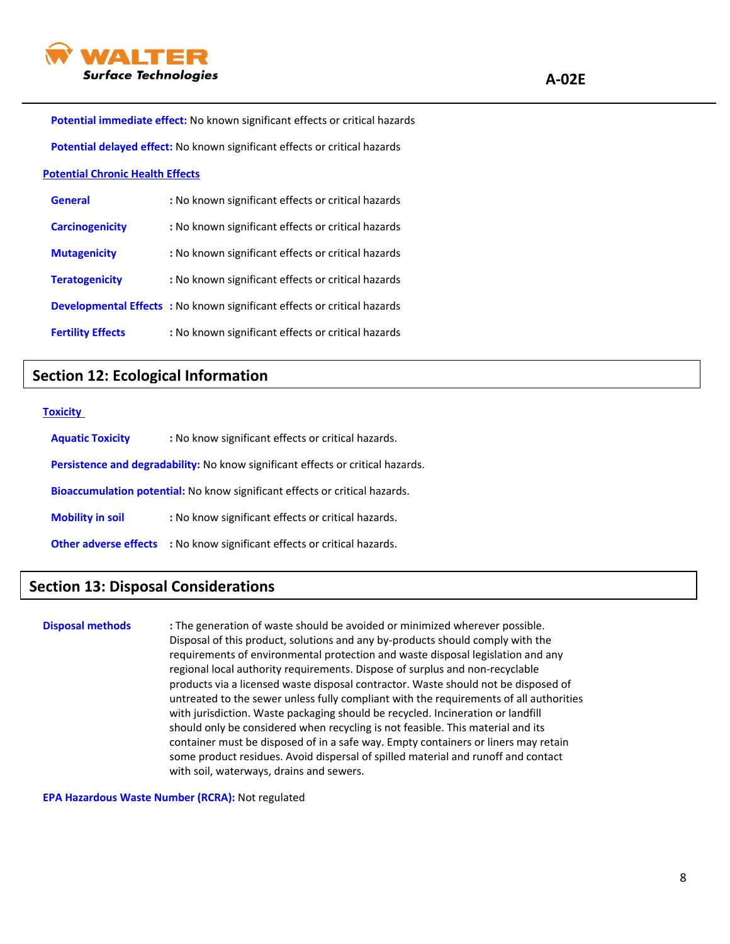

 **Potential immediate effect:** No known significant effects or critical hazards

 **Potential delayed effect:** No known significant effects or critical hazards

#### **Potential Chronic Health Effects**

| <b>General</b>           | : No known significant effects or critical hazards                             |
|--------------------------|--------------------------------------------------------------------------------|
| <b>Carcinogenicity</b>   | : No known significant effects or critical hazards                             |
| <b>Mutagenicity</b>      | : No known significant effects or critical hazards                             |
| <b>Teratogenicity</b>    | : No known significant effects or critical hazards                             |
|                          | <b>Developmental Effects: No known significant effects or critical hazards</b> |
| <b>Fertility Effects</b> | : No known significant effects or critical hazards                             |

### **Section 12: Ecological Information**

#### **Toxicity**

| <b>Aquatic Toxicity</b>                                                         | : No know significant effects or critical hazards. |  |
|---------------------------------------------------------------------------------|----------------------------------------------------|--|
| Persistence and degradability: No know significant effects or critical hazards. |                                                    |  |
| Bioaccumulation potential: No know significant effects or critical hazards.     |                                                    |  |
| <b>Mobility in soil</b>                                                         | : No know significant effects or critical hazards. |  |
| <b>Other adverse effects</b>                                                    | : No know significant effects or critical hazards. |  |

### **Section 13: Disposal Considerations**

**Disposal methods :** The generation of waste should be avoided or minimized wherever possible. Disposal of this product, solutions and any by-products should comply with the requirements of environmental protection and waste disposal legislation and any regional local authority requirements. Dispose of surplus and non-recyclable products via a licensed waste disposal contractor. Waste should not be disposed of untreated to the sewer unless fully compliant with the requirements of all authorities with jurisdiction. Waste packaging should be recycled. Incineration or landfill should only be considered when recycling is not feasible. This material and its container must be disposed of in a safe way. Empty containers or liners may retain some product residues. Avoid dispersal of spilled material and runoff and contact with soil, waterways, drains and sewers.

**EPA Hazardous Waste Number (RCRA):** Not regulated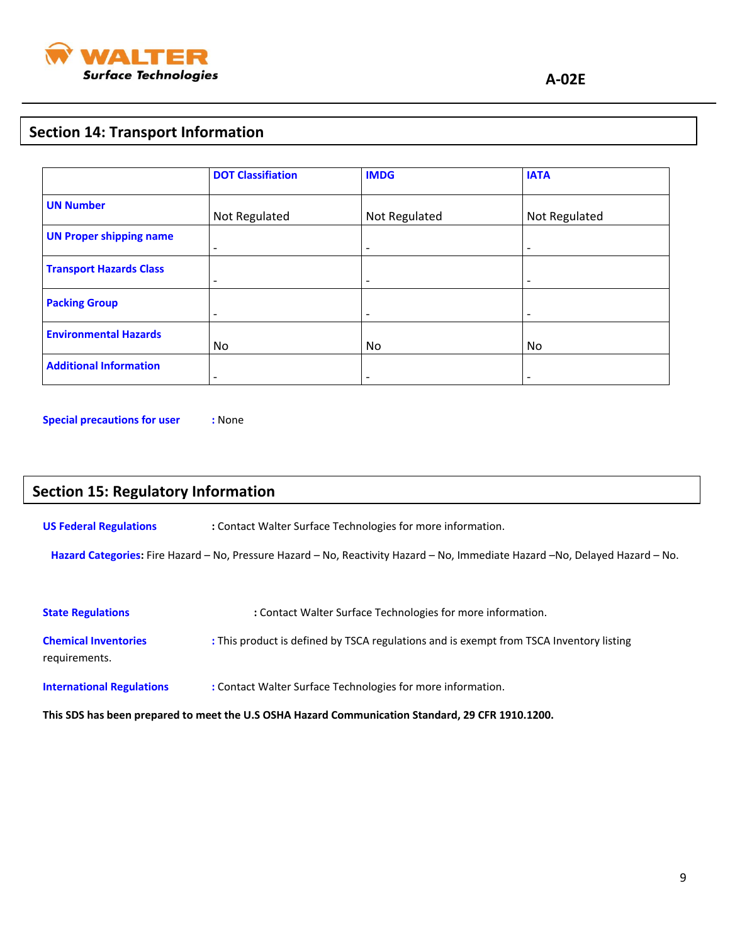

### **Section 14: Transport Information**

|                                | <b>DOT Classifiation</b> | <b>IMDG</b>              | <b>IATA</b>              |
|--------------------------------|--------------------------|--------------------------|--------------------------|
| <b>UN Number</b>               | Not Regulated            | Not Regulated            | Not Regulated            |
| <b>UN Proper shipping name</b> | $\overline{\phantom{a}}$ | -                        | $\overline{\phantom{a}}$ |
| <b>Transport Hazards Class</b> | $\overline{\phantom{0}}$ |                          |                          |
| <b>Packing Group</b>           | $\overline{\phantom{0}}$ | $\overline{\phantom{0}}$ | $\overline{\phantom{a}}$ |
| <b>Environmental Hazards</b>   | No                       | No.                      | N <sub>o</sub>           |
| <b>Additional Information</b>  | $\overline{\phantom{a}}$ | $\overline{\phantom{0}}$ | $\overline{\phantom{a}}$ |

**Special precautions for user :** None

### **Section 15: Regulatory Information**

**US Federal Regulations :** Contact Walter Surface Technologies for more information.

 **Hazard Categories:** Fire Hazard – No, Pressure Hazard – No, Reactivity Hazard – No, Immediate Hazard –No, Delayed Hazard – No.

| <b>State Regulations</b>                                                                         | : Contact Walter Surface Technologies for more information.                             |  |  |
|--------------------------------------------------------------------------------------------------|-----------------------------------------------------------------------------------------|--|--|
| <b>Chemical Inventories</b><br>requirements.                                                     | : This product is defined by TSCA regulations and is exempt from TSCA Inventory listing |  |  |
| <b>International Regulations</b>                                                                 | : Contact Walter Surface Technologies for more information.                             |  |  |
| This SDS has been prepared to meet the U.S OSHA Hazard Communication Standard, 29 CFR 1910.1200. |                                                                                         |  |  |